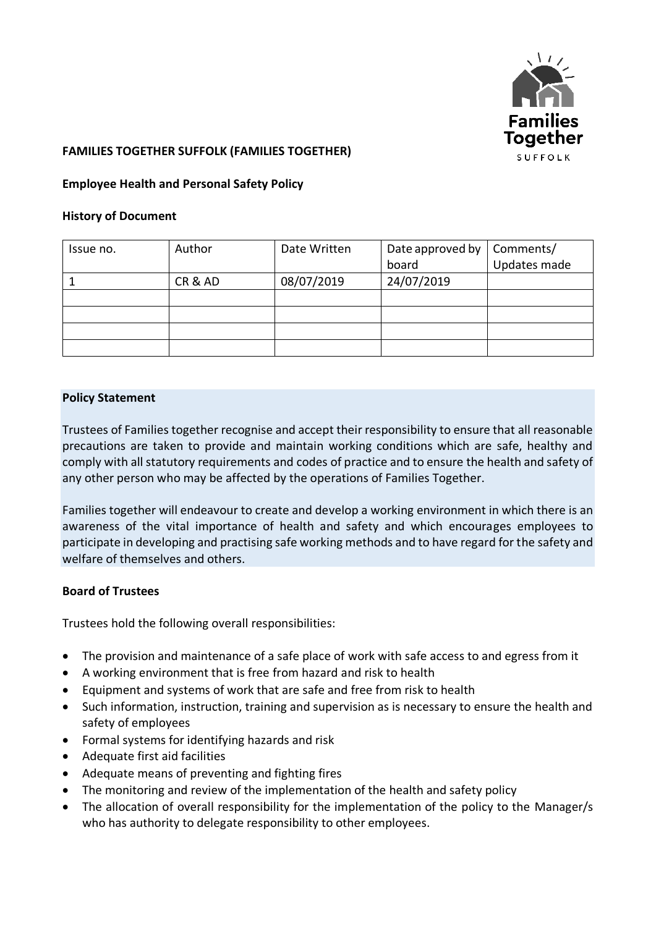

### **FAMILIES TOGETHER SUFFOLK (FAMILIES TOGETHER)**

#### **Employee Health and Personal Safety Policy**

#### **History of Document**

| Issue no. | Author | Date Written | Date approved by | Comments/    |
|-----------|--------|--------------|------------------|--------------|
|           |        |              | board            | Updates made |
|           | CR&AD  | 08/07/2019   | 24/07/2019       |              |
|           |        |              |                  |              |
|           |        |              |                  |              |
|           |        |              |                  |              |
|           |        |              |                  |              |

#### **Policy Statement**

Trustees of Families together recognise and accept their responsibility to ensure that all reasonable precautions are taken to provide and maintain working conditions which are safe, healthy and comply with all statutory requirements and codes of practice and to ensure the health and safety of any other person who may be affected by the operations of Families Together.

Families together will endeavour to create and develop a working environment in which there is an awareness of the vital importance of health and safety and which encourages employees to participate in developing and practising safe working methods and to have regard for the safety and welfare of themselves and others.

#### **Board of Trustees**

Trustees hold the following overall responsibilities:

- The provision and maintenance of a safe place of work with safe access to and egress from it
- A working environment that is free from hazard and risk to health
- Equipment and systems of work that are safe and free from risk to health
- Such information, instruction, training and supervision as is necessary to ensure the health and safety of employees
- Formal systems for identifying hazards and risk
- Adequate first aid facilities
- Adequate means of preventing and fighting fires
- The monitoring and review of the implementation of the health and safety policy
- The allocation of overall responsibility for the implementation of the policy to the Manager/s who has authority to delegate responsibility to other employees.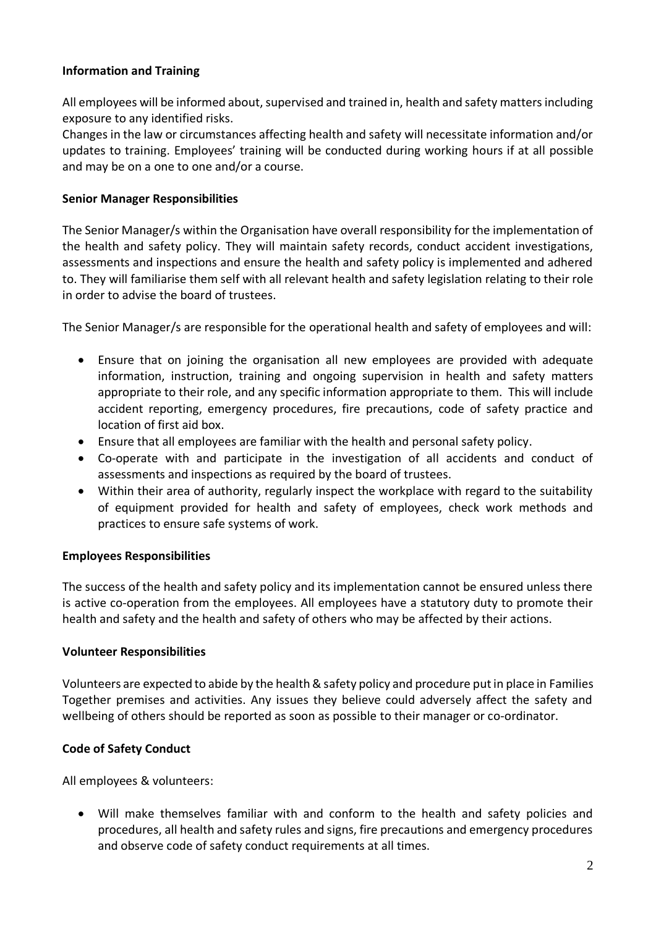## **Information and Training**

All employees will be informed about, supervised and trained in, health and safety matters including exposure to any identified risks.

Changes in the law or circumstances affecting health and safety will necessitate information and/or updates to training. Employees' training will be conducted during working hours if at all possible and may be on a one to one and/or a course.

### **Senior Manager Responsibilities**

The Senior Manager/s within the Organisation have overall responsibility for the implementation of the health and safety policy. They will maintain safety records, conduct accident investigations, assessments and inspections and ensure the health and safety policy is implemented and adhered to. They will familiarise them self with all relevant health and safety legislation relating to their role in order to advise the board of trustees.

The Senior Manager/s are responsible for the operational health and safety of employees and will:

- Ensure that on joining the organisation all new employees are provided with adequate information, instruction, training and ongoing supervision in health and safety matters appropriate to their role, and any specific information appropriate to them. This will include accident reporting, emergency procedures, fire precautions, code of safety practice and location of first aid box.
- Ensure that all employees are familiar with the health and personal safety policy.
- Co-operate with and participate in the investigation of all accidents and conduct of assessments and inspections as required by the board of trustees.
- Within their area of authority, regularly inspect the workplace with regard to the suitability of equipment provided for health and safety of employees, check work methods and practices to ensure safe systems of work.

## **Employees Responsibilities**

The success of the health and safety policy and its implementation cannot be ensured unless there is active co-operation from the employees. All employees have a statutory duty to promote their health and safety and the health and safety of others who may be affected by their actions.

#### **Volunteer Responsibilities**

Volunteers are expected to abide by the health & safety policy and procedure put in place in Families Together premises and activities. Any issues they believe could adversely affect the safety and wellbeing of others should be reported as soon as possible to their manager or co-ordinator.

## **Code of Safety Conduct**

All employees & volunteers:

• Will make themselves familiar with and conform to the health and safety policies and procedures, all health and safety rules and signs, fire precautions and emergency procedures and observe code of safety conduct requirements at all times.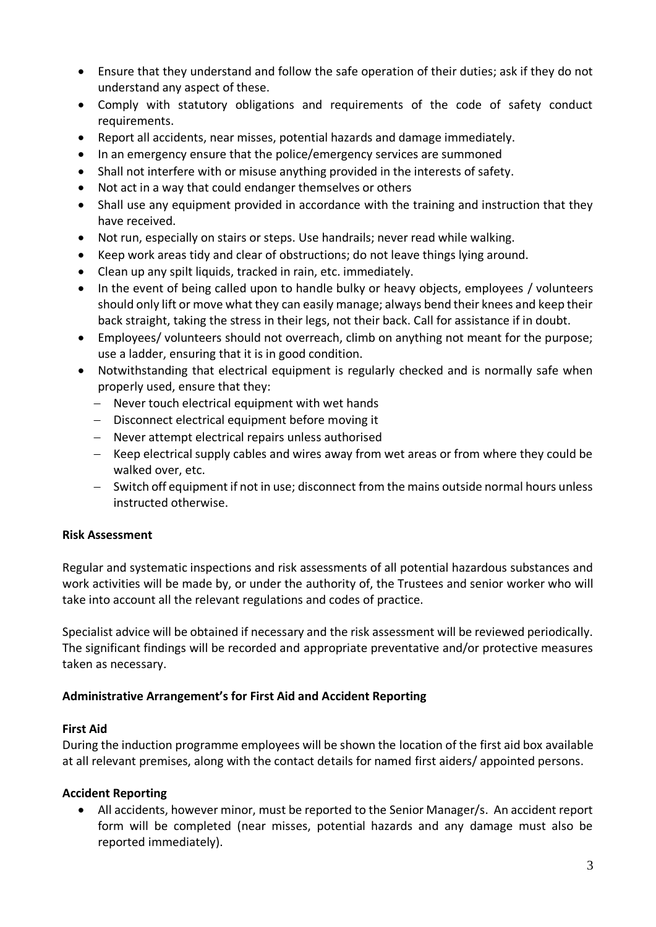- Ensure that they understand and follow the safe operation of their duties; ask if they do not understand any aspect of these.
- Comply with statutory obligations and requirements of the code of safety conduct requirements.
- Report all accidents, near misses, potential hazards and damage immediately.
- In an emergency ensure that the police/emergency services are summoned
- Shall not interfere with or misuse anything provided in the interests of safety.
- Not act in a way that could endanger themselves or others
- Shall use any equipment provided in accordance with the training and instruction that they have received.
- Not run, especially on stairs or steps. Use handrails; never read while walking.
- Keep work areas tidy and clear of obstructions; do not leave things lying around.
- Clean up any spilt liquids, tracked in rain, etc. immediately.
- In the event of being called upon to handle bulky or heavy objects, employees / volunteers should only lift or move what they can easily manage; always bend their knees and keep their back straight, taking the stress in their legs, not their back. Call for assistance if in doubt.
- Employees/ volunteers should not overreach, climb on anything not meant for the purpose; use a ladder, ensuring that it is in good condition.
- Notwithstanding that electrical equipment is regularly checked and is normally safe when properly used, ensure that they:
	- − Never touch electrical equipment with wet hands
	- − Disconnect electrical equipment before moving it
	- − Never attempt electrical repairs unless authorised
	- − Keep electrical supply cables and wires away from wet areas or from where they could be walked over, etc.
	- − Switch off equipment if not in use; disconnect from the mains outside normal hours unless instructed otherwise.

## **Risk Assessment**

Regular and systematic inspections and risk assessments of all potential hazardous substances and work activities will be made by, or under the authority of, the Trustees and senior worker who will take into account all the relevant regulations and codes of practice.

Specialist advice will be obtained if necessary and the risk assessment will be reviewed periodically. The significant findings will be recorded and appropriate preventative and/or protective measures taken as necessary.

## **Administrative Arrangement's for First Aid and Accident Reporting**

#### **First Aid**

During the induction programme employees will be shown the location of the first aid box available at all relevant premises, along with the contact details for named first aiders/ appointed persons.

## **Accident Reporting**

• All accidents, however minor, must be reported to the Senior Manager/s. An accident report form will be completed (near misses, potential hazards and any damage must also be reported immediately).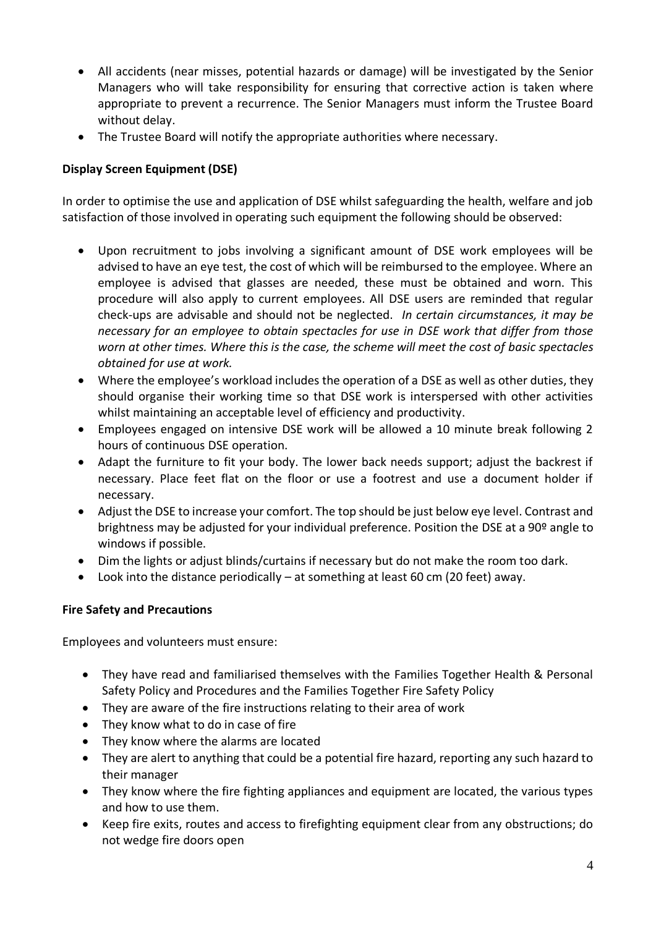- All accidents (near misses, potential hazards or damage) will be investigated by the Senior Managers who will take responsibility for ensuring that corrective action is taken where appropriate to prevent a recurrence. The Senior Managers must inform the Trustee Board without delay.
- The Trustee Board will notify the appropriate authorities where necessary.

## **Display Screen Equipment (DSE)**

In order to optimise the use and application of DSE whilst safeguarding the health, welfare and job satisfaction of those involved in operating such equipment the following should be observed:

- Upon recruitment to jobs involving a significant amount of DSE work employees will be advised to have an eye test, the cost of which will be reimbursed to the employee. Where an employee is advised that glasses are needed, these must be obtained and worn. This procedure will also apply to current employees. All DSE users are reminded that regular check-ups are advisable and should not be neglected. *In certain circumstances, it may be necessary for an employee to obtain spectacles for use in DSE work that differ from those worn at other times. Where this is the case, the scheme will meet the cost of basic spectacles obtained for use at work.*
- Where the employee's workload includes the operation of a DSE as well as other duties, they should organise their working time so that DSE work is interspersed with other activities whilst maintaining an acceptable level of efficiency and productivity.
- Employees engaged on intensive DSE work will be allowed a 10 minute break following 2 hours of continuous DSE operation.
- Adapt the furniture to fit your body. The lower back needs support; adjust the backrest if necessary. Place feet flat on the floor or use a footrest and use a document holder if necessary.
- Adjust the DSE to increase your comfort. The top should be just below eye level. Contrast and brightness may be adjusted for your individual preference. Position the DSE at a 90<sup>o</sup> angle to windows if possible.
- Dim the lights or adjust blinds/curtains if necessary but do not make the room too dark.
- Look into the distance periodically at something at least 60 cm (20 feet) away.

## **Fire Safety and Precautions**

Employees and volunteers must ensure:

- They have read and familiarised themselves with the Families Together Health & Personal Safety Policy and Procedures and the Families Together Fire Safety Policy
- They are aware of the fire instructions relating to their area of work
- They know what to do in case of fire
- They know where the alarms are located
- They are alert to anything that could be a potential fire hazard, reporting any such hazard to their manager
- They know where the fire fighting appliances and equipment are located, the various types and how to use them.
- Keep fire exits, routes and access to firefighting equipment clear from any obstructions; do not wedge fire doors open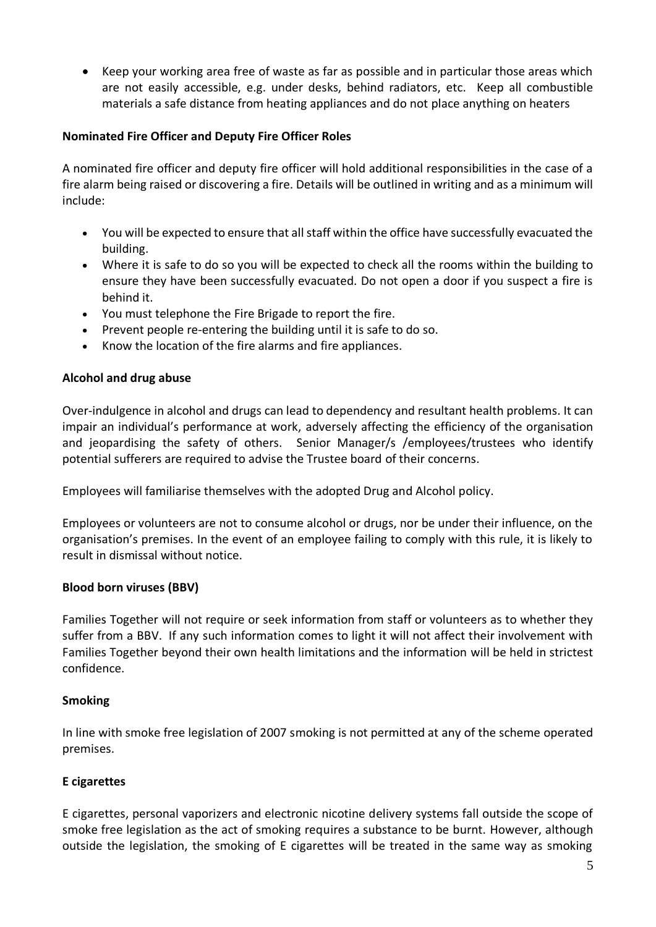• Keep your working area free of waste as far as possible and in particular those areas which are not easily accessible, e.g. under desks, behind radiators, etc. Keep all combustible materials a safe distance from heating appliances and do not place anything on heaters

## **Nominated Fire Officer and Deputy Fire Officer Roles**

A nominated fire officer and deputy fire officer will hold additional responsibilities in the case of a fire alarm being raised or discovering a fire. Details will be outlined in writing and as a minimum will include:

- You will be expected to ensure that all staff within the office have successfully evacuated the building.
- Where it is safe to do so you will be expected to check all the rooms within the building to ensure they have been successfully evacuated. Do not open a door if you suspect a fire is behind it.
- You must telephone the Fire Brigade to report the fire.
- Prevent people re-entering the building until it is safe to do so.
- Know the location of the fire alarms and fire appliances.

## **Alcohol and drug abuse**

Over-indulgence in alcohol and drugs can lead to dependency and resultant health problems. It can impair an individual's performance at work, adversely affecting the efficiency of the organisation and jeopardising the safety of others. Senior Manager/s /employees/trustees who identify potential sufferers are required to advise the Trustee board of their concerns.

Employees will familiarise themselves with the adopted Drug and Alcohol policy.

Employees or volunteers are not to consume alcohol or drugs, nor be under their influence, on the organisation's premises. In the event of an employee failing to comply with this rule, it is likely to result in dismissal without notice.

## **Blood born viruses (BBV)**

Families Together will not require or seek information from staff or volunteers as to whether they suffer from a BBV. If any such information comes to light it will not affect their involvement with Families Together beyond their own health limitations and the information will be held in strictest confidence.

## **Smoking**

In line with smoke free legislation of 2007 smoking is not permitted at any of the scheme operated premises.

# **E cigarettes**

E cigarettes, personal vaporizers and electronic nicotine delivery systems fall outside the scope of smoke free legislation as the act of smoking requires a substance to be burnt. However, although outside the legislation, the smoking of E cigarettes will be treated in the same way as smoking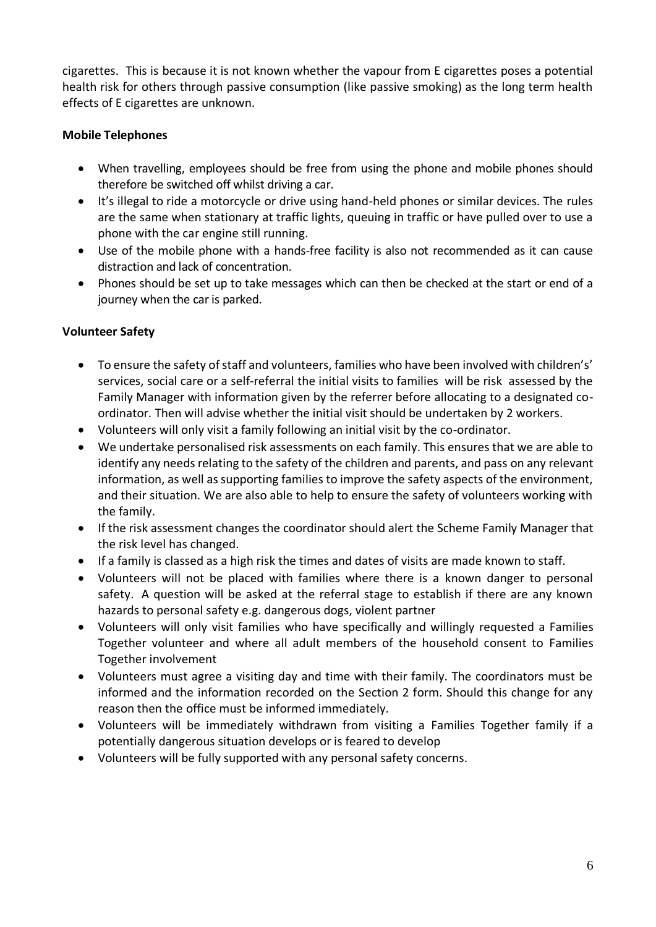cigarettes. This is because it is not known whether the vapour from E cigarettes poses a potential health risk for others through passive consumption (like passive smoking) as the long term health effects of E cigarettes are unknown.

## **Mobile Telephones**

- When travelling, employees should be free from using the phone and mobile phones should therefore be switched off whilst driving a car.
- It's illegal to ride a motorcycle or drive using hand-held phones or similar devices. The rules are the same when stationary at traffic lights, queuing in traffic or have pulled over to use a phone with the car engine still running.
- Use of the mobile phone with a hands-free facility is also not recommended as it can cause distraction and lack of concentration.
- Phones should be set up to take messages which can then be checked at the start or end of a journey when the car is parked.

## **Volunteer Safety**

- To ensure the safety of staff and volunteers, families who have been involved with children's' services, social care or a self-referral the initial visits to families will be risk assessed by the Family Manager with information given by the referrer before allocating to a designated coordinator. Then will advise whether the initial visit should be undertaken by 2 workers.
- Volunteers will only visit a family following an initial visit by the co-ordinator.
- We undertake personalised risk assessments on each family. This ensures that we are able to identify any needs relating to the safety of the children and parents, and pass on any relevant information, as well as supporting families to improve the safety aspects of the environment, and their situation. We are also able to help to ensure the safety of volunteers working with the family.
- If the risk assessment changes the coordinator should alert the Scheme Family Manager that the risk level has changed.
- If a family is classed as a high risk the times and dates of visits are made known to staff.
- Volunteers will not be placed with families where there is a known danger to personal safety. A question will be asked at the referral stage to establish if there are any known hazards to personal safety e.g. dangerous dogs, violent partner
- Volunteers will only visit families who have specifically and willingly requested a Families Together volunteer and where all adult members of the household consent to Families Together involvement
- Volunteers must agree a visiting day and time with their family. The coordinators must be informed and the information recorded on the Section 2 form. Should this change for any reason then the office must be informed immediately.
- Volunteers will be immediately withdrawn from visiting a Families Together family if a potentially dangerous situation develops or is feared to develop
- Volunteers will be fully supported with any personal safety concerns.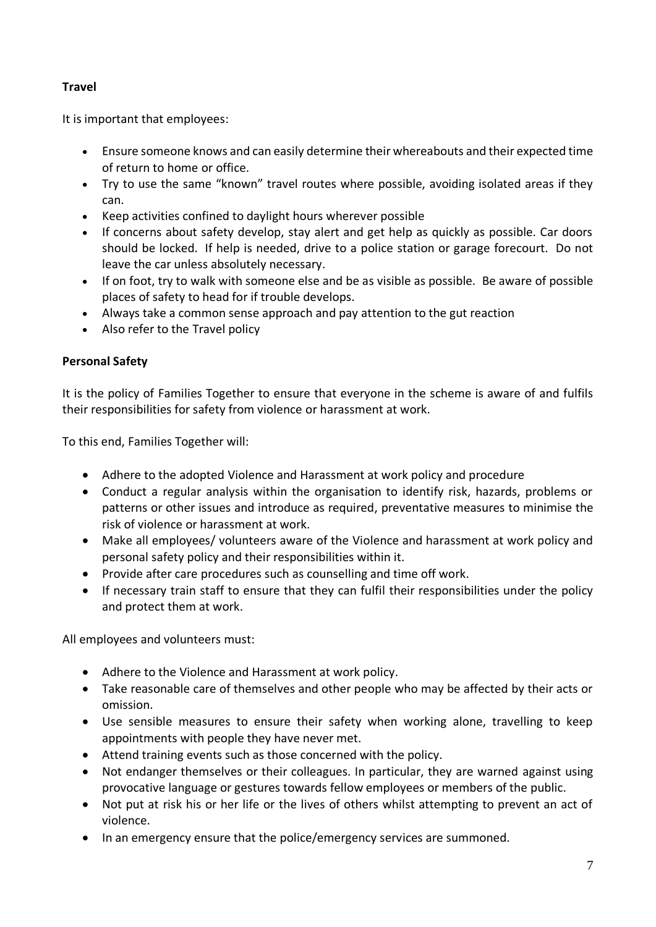## **Travel**

It is important that employees:

- Ensure someone knows and can easily determine their whereabouts and their expected time of return to home or office.
- Try to use the same "known" travel routes where possible, avoiding isolated areas if they can.
- Keep activities confined to daylight hours wherever possible
- If concerns about safety develop, stay alert and get help as quickly as possible. Car doors should be locked. If help is needed, drive to a police station or garage forecourt. Do not leave the car unless absolutely necessary.
- If on foot, try to walk with someone else and be as visible as possible. Be aware of possible places of safety to head for if trouble develops.
- Always take a common sense approach and pay attention to the gut reaction
- Also refer to the Travel policy

# **Personal Safety**

It is the policy of Families Together to ensure that everyone in the scheme is aware of and fulfils their responsibilities for safety from violence or harassment at work.

To this end, Families Together will:

- Adhere to the adopted Violence and Harassment at work policy and procedure
- Conduct a regular analysis within the organisation to identify risk, hazards, problems or patterns or other issues and introduce as required, preventative measures to minimise the risk of violence or harassment at work.
- Make all employees/ volunteers aware of the Violence and harassment at work policy and personal safety policy and their responsibilities within it.
- Provide after care procedures such as counselling and time off work.
- If necessary train staff to ensure that they can fulfil their responsibilities under the policy and protect them at work.

All employees and volunteers must:

- Adhere to the Violence and Harassment at work policy.
- Take reasonable care of themselves and other people who may be affected by their acts or omission.
- Use sensible measures to ensure their safety when working alone, travelling to keep appointments with people they have never met.
- Attend training events such as those concerned with the policy.
- Not endanger themselves or their colleagues. In particular, they are warned against using provocative language or gestures towards fellow employees or members of the public.
- Not put at risk his or her life or the lives of others whilst attempting to prevent an act of violence.
- In an emergency ensure that the police/emergency services are summoned.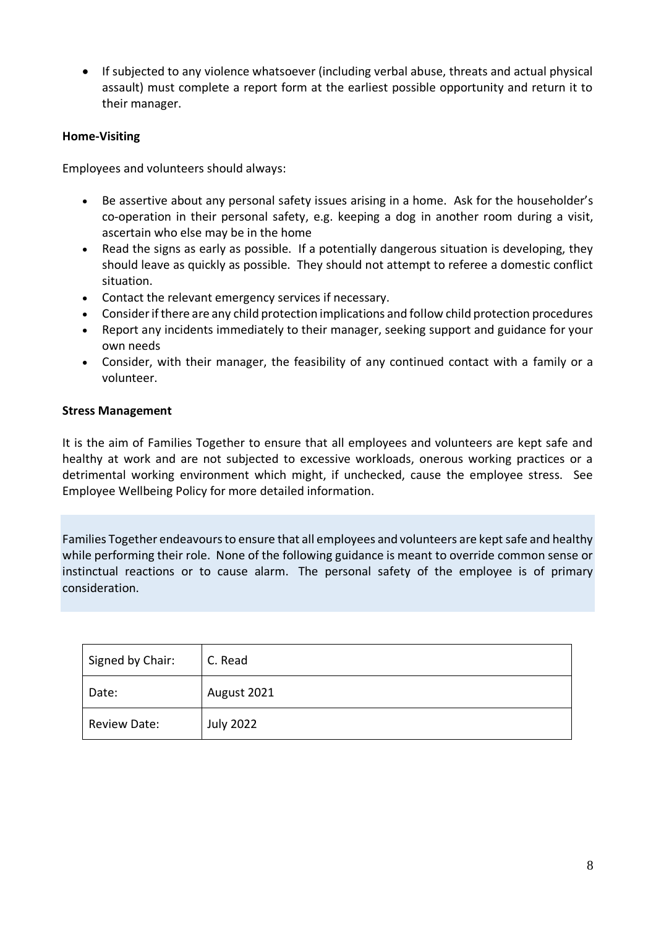• If subjected to any violence whatsoever (including verbal abuse, threats and actual physical assault) must complete a report form at the earliest possible opportunity and return it to their manager.

## **Home-Visiting**

Employees and volunteers should always:

- Be assertive about any personal safety issues arising in a home. Ask for the householder's co-operation in their personal safety, e.g. keeping a dog in another room during a visit, ascertain who else may be in the home
- Read the signs as early as possible. If a potentially dangerous situation is developing, they should leave as quickly as possible. They should not attempt to referee a domestic conflict situation.
- Contact the relevant emergency services if necessary.
- Consider if there are any child protection implications and follow child protection procedures
- Report any incidents immediately to their manager, seeking support and guidance for your own needs
- Consider, with their manager, the feasibility of any continued contact with a family or a volunteer.

## **Stress Management**

It is the aim of Families Together to ensure that all employees and volunteers are kept safe and healthy at work and are not subjected to excessive workloads, onerous working practices or a detrimental working environment which might, if unchecked, cause the employee stress. See Employee Wellbeing Policy for more detailed information.

Families Together endeavours to ensure that all employees and volunteers are kept safe and healthy while performing their role. None of the following guidance is meant to override common sense or instinctual reactions or to cause alarm. The personal safety of the employee is of primary consideration.

| Signed by Chair:    | C. Read          |
|---------------------|------------------|
| Date:               | August 2021      |
| <b>Review Date:</b> | <b>July 2022</b> |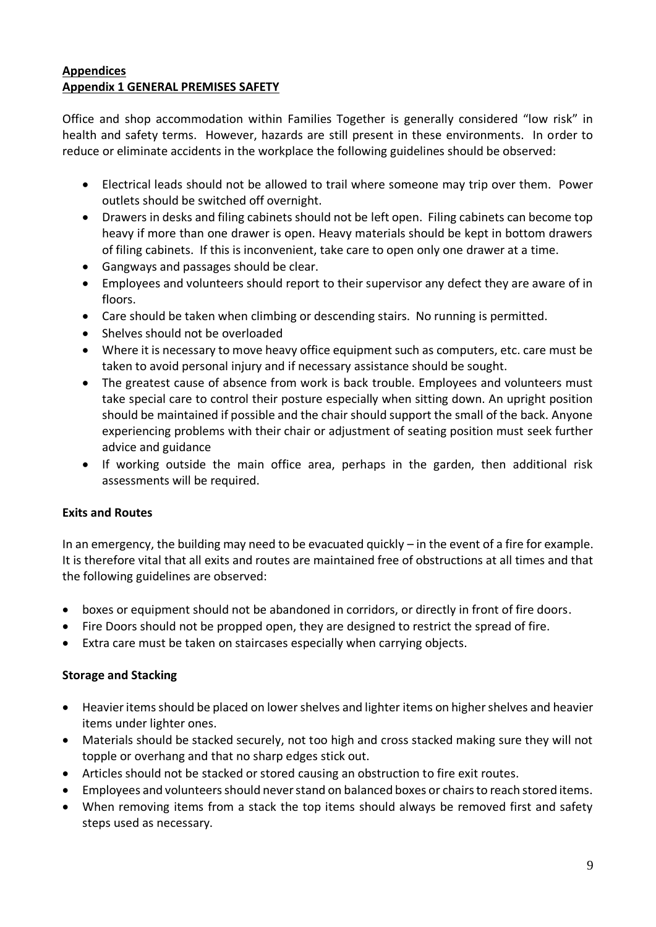### **Appendices Appendix 1 GENERAL PREMISES SAFETY**

Office and shop accommodation within Families Together is generally considered "low risk" in health and safety terms. However, hazards are still present in these environments. In order to reduce or eliminate accidents in the workplace the following guidelines should be observed:

- Electrical leads should not be allowed to trail where someone may trip over them. Power outlets should be switched off overnight.
- Drawers in desks and filing cabinets should not be left open. Filing cabinets can become top heavy if more than one drawer is open. Heavy materials should be kept in bottom drawers of filing cabinets. If this is inconvenient, take care to open only one drawer at a time.
- Gangways and passages should be clear.
- Employees and volunteers should report to their supervisor any defect they are aware of in floors.
- Care should be taken when climbing or descending stairs. No running is permitted.
- Shelves should not be overloaded
- Where it is necessary to move heavy office equipment such as computers, etc. care must be taken to avoid personal injury and if necessary assistance should be sought.
- The greatest cause of absence from work is back trouble. Employees and volunteers must take special care to control their posture especially when sitting down. An upright position should be maintained if possible and the chair should support the small of the back. Anyone experiencing problems with their chair or adjustment of seating position must seek further advice and guidance
- If working outside the main office area, perhaps in the garden, then additional risk assessments will be required.

## **Exits and Routes**

In an emergency, the building may need to be evacuated quickly – in the event of a fire for example. It is therefore vital that all exits and routes are maintained free of obstructions at all times and that the following guidelines are observed:

- boxes or equipment should not be abandoned in corridors, or directly in front of fire doors.
- Fire Doors should not be propped open, they are designed to restrict the spread of fire.
- Extra care must be taken on staircases especially when carrying objects.

## **Storage and Stacking**

- Heavier items should be placed on lower shelves and lighter items on higher shelves and heavier items under lighter ones.
- Materials should be stacked securely, not too high and cross stacked making sure they will not topple or overhang and that no sharp edges stick out.
- Articles should not be stacked or stored causing an obstruction to fire exit routes.
- Employees and volunteers should never stand on balanced boxes or chairs to reach stored items.
- When removing items from a stack the top items should always be removed first and safety steps used as necessary.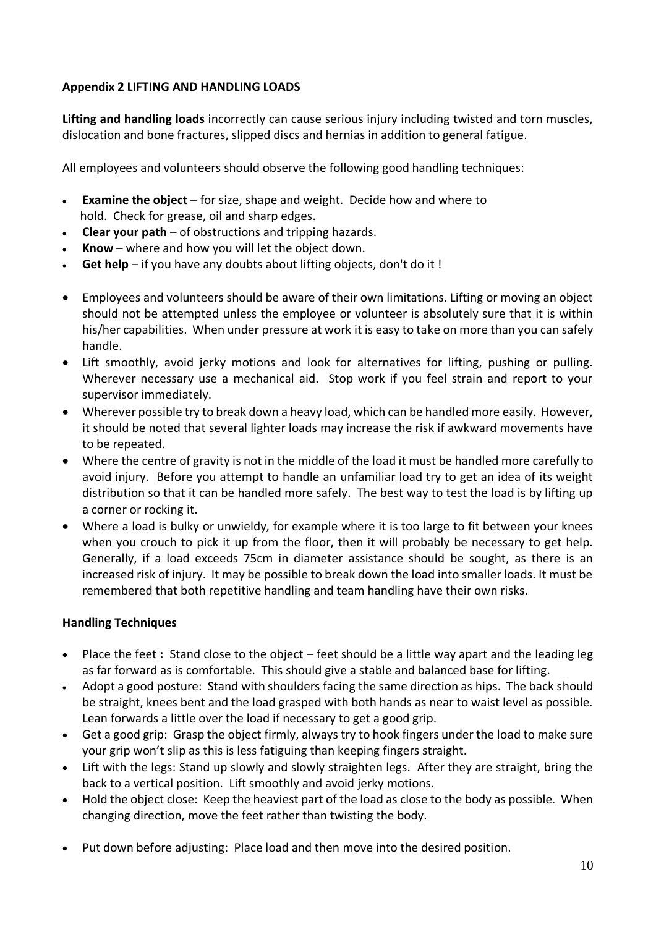## **Appendix 2 LIFTING AND HANDLING LOADS**

**Lifting and handling loads** incorrectly can cause serious injury including twisted and torn muscles, dislocation and bone fractures, slipped discs and hernias in addition to general fatigue.

All employees and volunteers should observe the following good handling techniques:

- **Examine the object** for size, shape and weight. Decide how and where to hold. Check for grease, oil and sharp edges.
- **Clear your path** of obstructions and tripping hazards.
- **Know** where and how you will let the object down.
- **Get help** if you have any doubts about lifting objects, don't do it !
- Employees and volunteers should be aware of their own limitations. Lifting or moving an object should not be attempted unless the employee or volunteer is absolutely sure that it is within his/her capabilities. When under pressure at work it is easy to take on more than you can safely handle.
- Lift smoothly, avoid jerky motions and look for alternatives for lifting, pushing or pulling. Wherever necessary use a mechanical aid. Stop work if you feel strain and report to your supervisor immediately.
- Wherever possible try to break down a heavy load, which can be handled more easily. However, it should be noted that several lighter loads may increase the risk if awkward movements have to be repeated.
- Where the centre of gravity is not in the middle of the load it must be handled more carefully to avoid injury. Before you attempt to handle an unfamiliar load try to get an idea of its weight distribution so that it can be handled more safely. The best way to test the load is by lifting up a corner or rocking it.
- Where a load is bulky or unwieldy, for example where it is too large to fit between your knees when you crouch to pick it up from the floor, then it will probably be necessary to get help. Generally, if a load exceeds 75cm in diameter assistance should be sought, as there is an increased risk of injury. It may be possible to break down the load into smaller loads. It must be remembered that both repetitive handling and team handling have their own risks.

## **Handling Techniques**

- Place the feet **:** Stand close to the object feet should be a little way apart and the leading leg as far forward as is comfortable. This should give a stable and balanced base for lifting.
- Adopt a good posture:Stand with shoulders facing the same direction as hips. The back should be straight, knees bent and the load grasped with both hands as near to waist level as possible. Lean forwards a little over the load if necessary to get a good grip.
- Get a good grip:Grasp the object firmly, always try to hook fingers under the load to make sure your grip won't slip as this is less fatiguing than keeping fingers straight.
- Lift with the legs: Stand up slowly and slowly straighten legs. After they are straight, bring the back to a vertical position. Lift smoothly and avoid jerky motions.
- Hold the object close:Keep the heaviest part of the load as close to the body as possible. When changing direction, move the feet rather than twisting the body.
- Put down before adjusting:Place load and then move into the desired position.